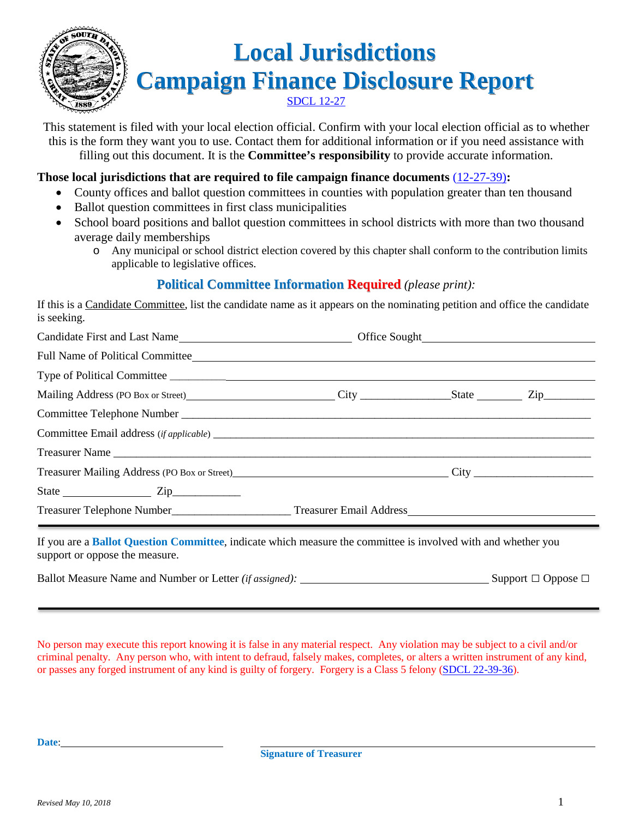

# **Local Jurisdictions Campaign Finance Disclosure Report** SDCL 12-27

This statement is filed with your local election official. Confirm with your local election official as to whether this is the form they want you to use. Contact them for additional information or if you need assistance with filling out this document. It is the **Committee's responsibility** to provide accurate information.

#### **Those local jurisdictions that are required to file campaign finance documents** (12-27-39)**:**

- County offices and ballot question committees in counties with population greater than ten thousand
- Ballot question committees in first class municipalities
- School board positions and ballot question committees in school districts with more than two thousand average daily memberships
	- o Any municipal or school district election covered by this chapter shall conform to the contribution limits applicable to legislative offices.

#### **Political Committee Information Required** *(please print):*

If this is a Candidate Committee, list the candidate name as it appears on the nominating petition and office the candidate is seeking.

| Full Name of Political Committee_ <b>with the contract of the contract of the contract of Political Committee</b> |  |  |
|-------------------------------------------------------------------------------------------------------------------|--|--|
| Type of Political Committee                                                                                       |  |  |
|                                                                                                                   |  |  |
| Committee Telephone Number                                                                                        |  |  |
|                                                                                                                   |  |  |
|                                                                                                                   |  |  |
|                                                                                                                   |  |  |
|                                                                                                                   |  |  |
| Treasurer Telephone Number_________________________Treasurer Email Address__________________________              |  |  |

Ballot Measure Name and Number or Letter *(if assigned):* Support □ Oppose □

No person may execute this report knowing it is false in any material respect. Any violation may be subject to a civil and/or criminal penalty. Any person who, with intent to defraud, falsely makes, completes, or alters a written instrument of any kind, or passes any forged instrument of any kind is guilty of forgery. Forgery is a Class 5 felony (SDCL 22-39-36).

**Date**: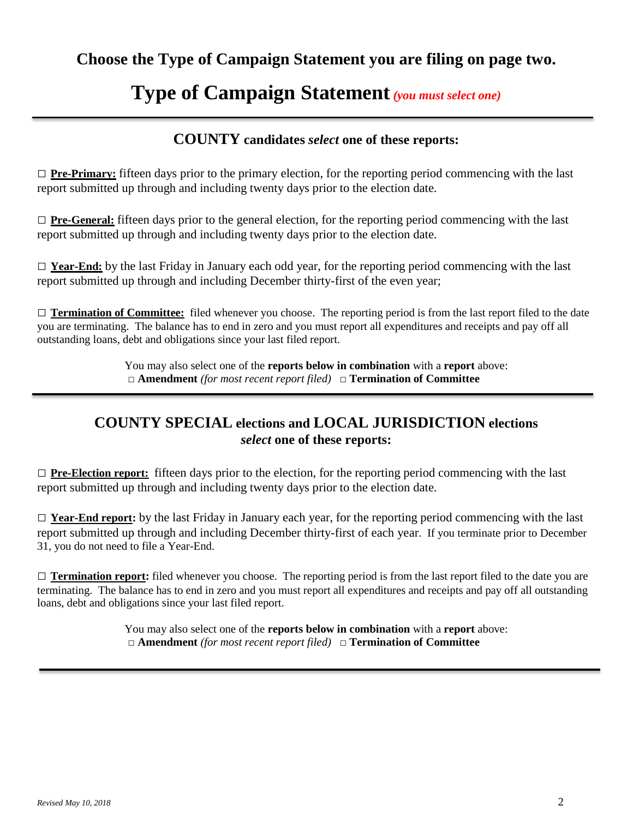# **Type of Campaign Statement***(you must select one)*

#### **COUNTY candidates** *select* **one of these reports:**

 $\Box$  **Pre-Primary:** fifteen days prior to the primary election, for the reporting period commencing with the last report submitted up through and including twenty days prior to the election date.

□ **Pre-General:** fifteen days prior to the general election, for the reporting period commencing with the last report submitted up through and including twenty days prior to the election date.

□ **Year-End:** by the last Friday in January each odd year, for the reporting period commencing with the last report submitted up through and including December thirty-first of the even year;

□ **Termination of Committee:** filed whenever you choose. The reporting period is from the last report filed to the date you are terminating. The balance has to end in zero and you must report all expenditures and receipts and pay off all outstanding loans, debt and obligations since your last filed report.

> You may also select one of the **reports below in combination** with a **report** above: □ **Amendment** *(for most recent report filed)* □ **Termination of Committee**

#### **COUNTY SPECIAL elections and LOCAL JURISDICTION elections** *select* **one of these reports:**

□ **Pre-Election report:** fifteen days prior to the election, for the reporting period commencing with the last report submitted up through and including twenty days prior to the election date.

□ **Year-End report:** by the last Friday in January each year, for the reporting period commencing with the last report submitted up through and including December thirty-first of each year. If you terminate prior to December 31, you do not need to file a Year-End.

 $\Box$  **Termination report:** filed whenever you choose. The reporting period is from the last report filed to the date you are terminating. The balance has to end in zero and you must report all expenditures and receipts and pay off all outstanding loans, debt and obligations since your last filed report.

> You may also select one of the **reports below in combination** with a **report** above: □ **Amendment** *(for most recent report filed)* □ **Termination of Committee**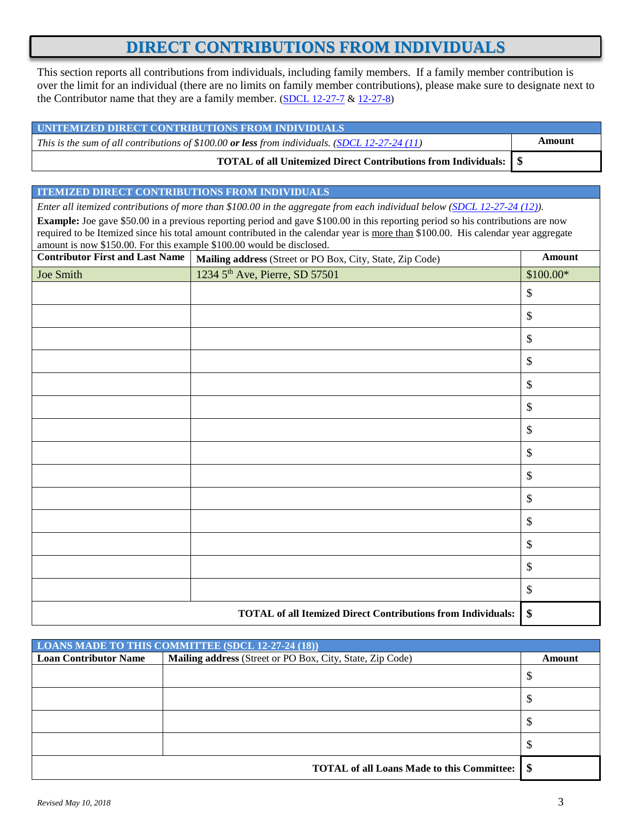## **DIRECT CONTRIBUTIONS FROM INDIVIDUALS**

This section reports all contributions from individuals, including family members. If a family member contribution is over the limit for an individual (there are no limits on family member contributions), please make sure to designate next to the Contributor name that they are a family member. (SDCL  $12-27-7$  &  $12-27-8$ )

| UNITEMIZED DIRECT CONTRIBUTIONS FROM INDIVIDUALS                                               |        |
|------------------------------------------------------------------------------------------------|--------|
| This is the sum of all contributions of \$100.00 or less from individuals. (SDCL 12-27-24 (11) | Amount |
| TOTAL of all Unitemized Direct Contributions from Individuals: \\ \ \ \ \ \                    |        |

#### **ITEMIZED DIRECT CONTRIBUTIONS FROM INDIVIDUALS**

*Enter all itemized contributions of more than \$100.00 in the aggregate from each individual below (SDCL 12-27-24 (12)).*

**Example:** Joe gave \$50.00 in a previous reporting period and gave \$100.00 in this reporting period so his contributions are now required to be Itemized since his total amount contributed in the calendar year is more than \$100.00. His calendar year aggregate amount is now \$150.00. For this example \$100.00 would be disclosed.

| <b>Contributor First and Last Name</b> | Mailing address (Street or PO Box, City, State, Zip Code)           | Amount                    |
|----------------------------------------|---------------------------------------------------------------------|---------------------------|
| Joe Smith                              | 1234 5 <sup>th</sup> Ave, Pierre, SD 57501                          | $$100.00*$                |
|                                        |                                                                     | \$                        |
|                                        |                                                                     | $\$\,$                    |
|                                        |                                                                     | $\$\,$                    |
|                                        |                                                                     | $\boldsymbol{\mathsf{S}}$ |
|                                        |                                                                     | $\$\,$                    |
|                                        |                                                                     | $\boldsymbol{\mathsf{S}}$ |
|                                        |                                                                     | $\$\,$                    |
|                                        |                                                                     | $\$\,$                    |
|                                        |                                                                     | $\boldsymbol{\mathsf{S}}$ |
|                                        |                                                                     | $\boldsymbol{\mathsf{S}}$ |
|                                        |                                                                     | $\boldsymbol{\mathsf{S}}$ |
|                                        |                                                                     | $\boldsymbol{\mathsf{S}}$ |
|                                        |                                                                     | $\$\,$                    |
|                                        |                                                                     | $\boldsymbol{\mathsf{S}}$ |
|                                        | <b>TOTAL of all Itemized Direct Contributions from Individuals:</b> | \$                        |

|                              | LOANS MADE TO THIS COMMITTEE (SDCL 12-27-24 (18))         |        |
|------------------------------|-----------------------------------------------------------|--------|
| <b>Loan Contributor Name</b> | Mailing address (Street or PO Box, City, State, Zip Code) | Amount |
|                              |                                                           | ◡      |
|                              |                                                           |        |
|                              |                                                           |        |
|                              |                                                           |        |
|                              | <b>TOTAL of all Loans Made to this Committee:</b>         | - \$   |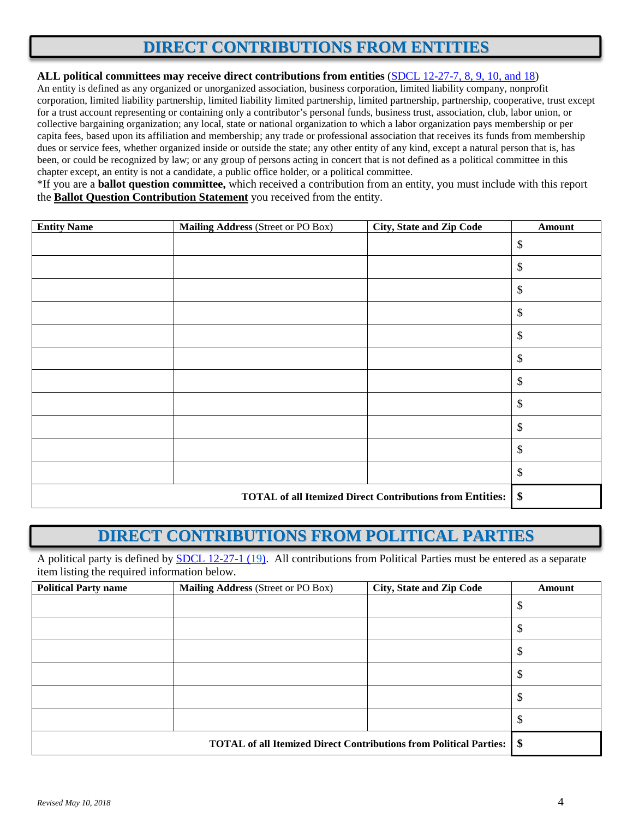# **DIRECT CONTRIBUTIONS FROM ENTITIES**

#### **ALL political committees may receive direct contributions from entities** (SDCL 12-27-7, 8, 9, 10, and 18)

An entity is defined as any organized or unorganized association, business corporation, limited liability company, nonprofit corporation, limited liability partnership, limited liability limited partnership, limited partnership, partnership, cooperative, trust except for a trust account representing or containing only a contributor's personal funds, business trust, association, club, labor union, or collective bargaining organization; any local, state or national organization to which a labor organization pays membership or per capita fees, based upon its affiliation and membership; any trade or professional association that receives its funds from membership dues or service fees, whether organized inside or outside the state; any other entity of any kind, except a natural person that is, has been, or could be recognized by law; or any group of persons acting in concert that is not defined as a political committee in this chapter except, an entity is not a candidate, a public office holder, or a political committee.

\*If you are a **ballot question committee,** which received a contribution from an entity, you must include with this report the **Ballot Question Contribution Statement** you received from the entity.

| <b>Entity Name</b> | Mailing Address (Street or PO Box) | <b>City, State and Zip Code</b>                                  | Amount                     |
|--------------------|------------------------------------|------------------------------------------------------------------|----------------------------|
|                    |                                    |                                                                  | $\$\,$                     |
|                    |                                    |                                                                  | $\$$                       |
|                    |                                    |                                                                  | $\mathbb{S}$               |
|                    |                                    |                                                                  | $\$\,$                     |
|                    |                                    |                                                                  | $\$\,$                     |
|                    |                                    |                                                                  | $\$\,$                     |
|                    |                                    |                                                                  | $\$\,$                     |
|                    |                                    |                                                                  | $\$\,$                     |
|                    |                                    |                                                                  | $\$\,$                     |
|                    |                                    |                                                                  | $\$\,$                     |
|                    |                                    |                                                                  | $\boldsymbol{\mathsf{\$}}$ |
|                    |                                    | <b>TOTAL of all Itemized Direct Contributions from Entities:</b> | \$                         |

# **DIRECT CONTRIBUTIONS FROM POLITICAL PARTIES**

A political party is defined by **SDCL 12-27-1 (19)**. All contributions from Political Parties must be entered as a separate item listing the required information below.

| <b>Political Party name</b> | Mailing Address (Street or PO Box) | <b>City, State and Zip Code</b>                                           | <b>Amount</b> |
|-----------------------------|------------------------------------|---------------------------------------------------------------------------|---------------|
|                             |                                    |                                                                           | \$            |
|                             |                                    |                                                                           | \$            |
|                             |                                    |                                                                           | \$            |
|                             |                                    |                                                                           | \$            |
|                             |                                    |                                                                           | Φ             |
|                             |                                    |                                                                           | Φ             |
|                             |                                    | <b>TOTAL of all Itemized Direct Contributions from Political Parties:</b> | \$            |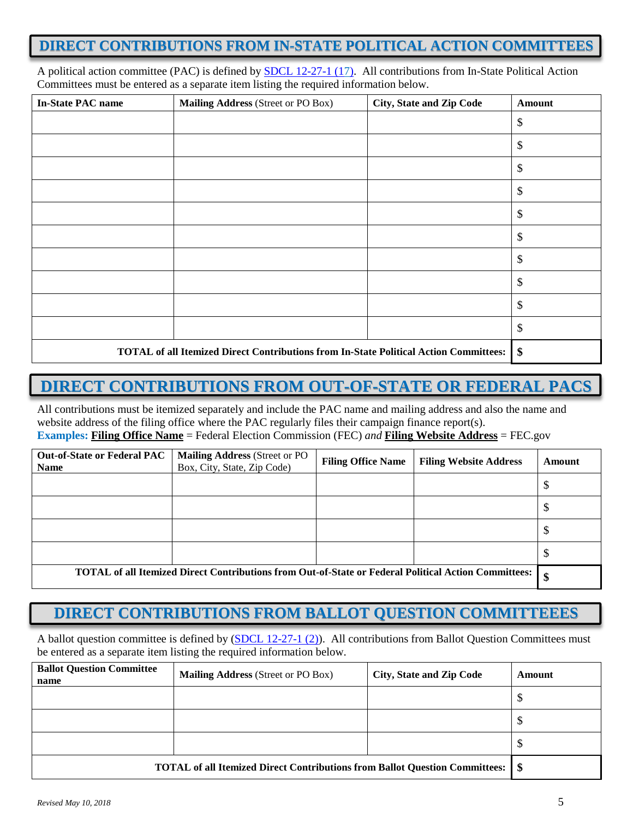#### **DIRECT CONTRIBUTIONS FROM IN-STATE POLITICAL ACTION COMMITTEES**

A political action committee (PAC) is defined by **SDCL 12-27-1 (17)**. All contributions from In-State Political Action Committees must be entered as a separate item listing the required information below.

| <b>In-State PAC name</b> | Mailing Address (Street or PO Box)                                                           | City, State and Zip Code | <b>Amount</b> |
|--------------------------|----------------------------------------------------------------------------------------------|--------------------------|---------------|
|                          |                                                                                              |                          | \$            |
|                          |                                                                                              |                          | \$            |
|                          |                                                                                              |                          | \$            |
|                          |                                                                                              |                          | \$            |
|                          |                                                                                              |                          | \$            |
|                          |                                                                                              |                          | \$            |
|                          |                                                                                              |                          | \$            |
|                          |                                                                                              |                          | \$            |
|                          |                                                                                              |                          | \$            |
|                          |                                                                                              |                          | \$            |
|                          | <b>TOTAL of all Itemized Direct Contributions from In-State Political Action Committees:</b> |                          | \$            |

# **DIRECT CONTRIBUTIONS FROM OUT-OF-STATE OR FEDERAL PACS**

All contributions must be itemized separately and include the PAC name and mailing address and also the name and website address of the filing office where the PAC regularly files their campaign finance report(s). **Examples: Filing Office Name** = Federal Election Commission (FEC) *and* **Filing Website Address** = FEC.gov

| <b>Out-of-State or Federal PAC</b><br><b>Name</b> | <b>Mailing Address (Street or PO</b><br>Box, City, State, Zip Code)                                  | <b>Filing Office Name</b> | <b>Filing Website Address</b> | Amount |
|---------------------------------------------------|------------------------------------------------------------------------------------------------------|---------------------------|-------------------------------|--------|
|                                                   |                                                                                                      |                           |                               |        |
|                                                   |                                                                                                      |                           |                               |        |
|                                                   |                                                                                                      |                           |                               | ◡      |
|                                                   |                                                                                                      |                           |                               |        |
|                                                   | TOTAL of all Itemized Direct Contributions from Out-of-State or Federal Political Action Committees: |                           |                               | \$     |

#### **DIRECT CONTRIBUTIONS FROM BALLOT QUESTION COMMITTEEES**

A ballot question committee is defined by  $(SDCL 12-27-1 (2))$ . All contributions from Ballot Question Committees must be entered as a separate item listing the required information below.

| <b>Ballot Question Committee</b><br>name                                           | <b>Mailing Address (Street or PO Box)</b> | City, State and Zip Code | Amount |
|------------------------------------------------------------------------------------|-------------------------------------------|--------------------------|--------|
|                                                                                    |                                           |                          | Φ      |
|                                                                                    |                                           |                          | Φ      |
|                                                                                    |                                           |                          | J      |
| <b>TOTAL of all Itemized Direct Contributions from Ballot Question Committees:</b> |                                           |                          | - \$   |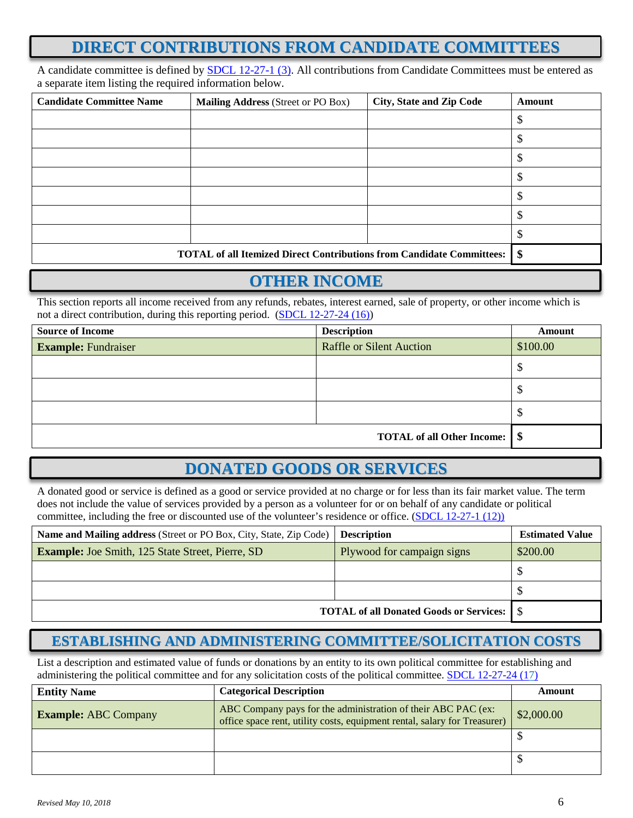# **DIRECT CONTRIBUTIONS FROM CANDIDATE COMMITTEES**

A candidate committee is defined by SDCL 12-27-1 (3). All contributions from Candidate Committees must be entered as a separate item listing the required information below.

| <b>Candidate Committee Name</b> | <b>Mailing Address (Street or PO Box)</b>                                    | <b>City, State and Zip Code</b> | Amount |
|---------------------------------|------------------------------------------------------------------------------|---------------------------------|--------|
|                                 |                                                                              |                                 |        |
|                                 |                                                                              |                                 |        |
|                                 |                                                                              |                                 |        |
|                                 |                                                                              |                                 |        |
|                                 |                                                                              |                                 |        |
|                                 |                                                                              |                                 |        |
|                                 |                                                                              |                                 |        |
|                                 | <b>TOTAL of all Itemized Direct Contributions from Candidate Committees:</b> |                                 | \$     |

## **OTHER INCOME**

This section reports all income received from any refunds, rebates, interest earned, sale of property, or other income which is not a direct contribution, during this reporting period. (SDCL 12-27-24 (16))

| <b>Source of Income</b>    | <b>Description</b>                     | Amount   |
|----------------------------|----------------------------------------|----------|
| <b>Example:</b> Fundraiser | <b>Raffle or Silent Auction</b>        | \$100.00 |
|                            |                                        | Ψ        |
|                            |                                        | Φ        |
|                            |                                        | Φ        |
|                            | <b>TOTAL of all Other Income:</b>   \$ |          |

# **DONATED GOODS OR SERVICES**

A donated good or service is defined as a good or service provided at no charge or for less than its fair market value. The term does not include the value of services provided by a person as a volunteer for or on behalf of any candidate or political committee, including the free or discounted use of the volunteer's residence or office. (SDCL 12-27-1 (12))

| Name and Mailing address (Street or PO Box, City, State, Zip Code) | <b>Description</b>                             | <b>Estimated Value</b> |
|--------------------------------------------------------------------|------------------------------------------------|------------------------|
| <b>Example:</b> Joe Smith, 125 State Street, Pierre, SD            | Plywood for campaign signs                     | \$200.00               |
|                                                                    |                                                |                        |
|                                                                    |                                                | ъ                      |
|                                                                    | <b>TOTAL of all Donated Goods or Services:</b> |                        |

#### **ESTABLISHING AND ADMINISTERING COMMITTEE/SOLICITATION COSTS**

List a description and estimated value of funds or donations by an entity to its own political committee for establishing and administering the political committee and for any solicitation costs of the political committee. SDCL 12-27-24 (17)

| <b>Entity Name</b>          | <b>Categorical Description</b>                                                                                                             | Amount     |
|-----------------------------|--------------------------------------------------------------------------------------------------------------------------------------------|------------|
| <b>Example: ABC Company</b> | ABC Company pays for the administration of their ABC PAC (ex:<br>office space rent, utility costs, equipment rental, salary for Treasurer) | \$2,000.00 |
|                             |                                                                                                                                            |            |
|                             |                                                                                                                                            |            |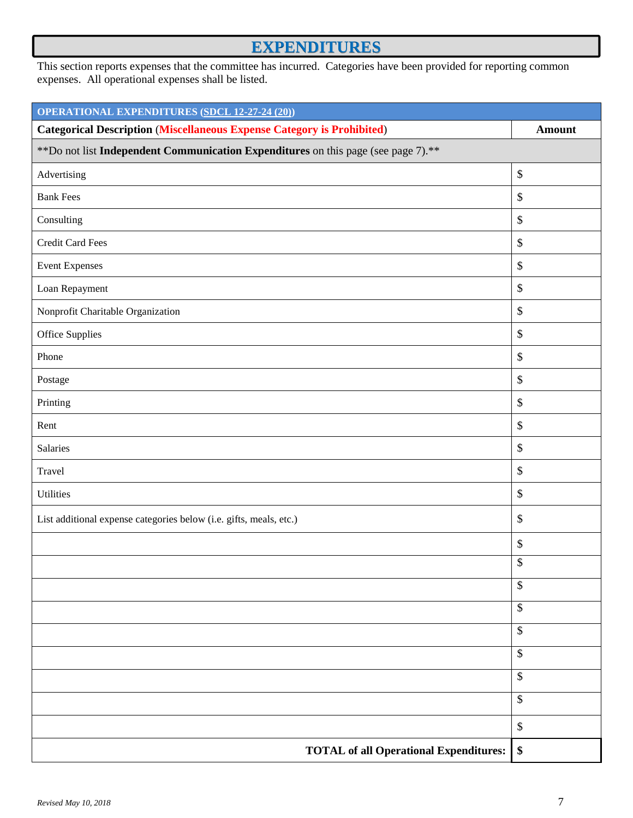# **EXPENDITURES**

This section reports expenses that the committee has incurred. Categories have been provided for reporting common expenses. All operational expenses shall be listed.

| <b>OPERATIONAL EXPENDITURES (SDCL 12-27-24 (20))</b>                               |                 |  |
|------------------------------------------------------------------------------------|-----------------|--|
| <b>Categorical Description (Miscellaneous Expense Category is Prohibited)</b>      | <b>Amount</b>   |  |
| ** Do not list Independent Communication Expenditures on this page (see page 7).** |                 |  |
| Advertising                                                                        | $\$$            |  |
| <b>Bank Fees</b>                                                                   | \$              |  |
| Consulting                                                                         | $\$$            |  |
| <b>Credit Card Fees</b>                                                            | $\$$            |  |
| <b>Event Expenses</b>                                                              | $\$$            |  |
| Loan Repayment                                                                     | $\$$            |  |
| Nonprofit Charitable Organization                                                  | $\$$            |  |
| Office Supplies                                                                    | $\mathcal{S}$   |  |
| Phone                                                                              | \$              |  |
| Postage                                                                            | $\$\,$          |  |
| Printing                                                                           | $\$\,$          |  |
| Rent                                                                               | \$              |  |
| Salaries                                                                           | $\mathbb{S}$    |  |
| Travel                                                                             | $\$\,$          |  |
| Utilities                                                                          | $\$$            |  |
| List additional expense categories below (i.e. gifts, meals, etc.)                 | \$              |  |
|                                                                                    | \$              |  |
|                                                                                    | \$              |  |
|                                                                                    | $\$\,$          |  |
|                                                                                    | $\$$            |  |
|                                                                                    | $\$$            |  |
|                                                                                    | $\mathbb{S}$    |  |
|                                                                                    | $\overline{\$}$ |  |
|                                                                                    | \$              |  |
|                                                                                    | $\$$            |  |
| <b>TOTAL of all Operational Expenditures:</b>                                      | \$              |  |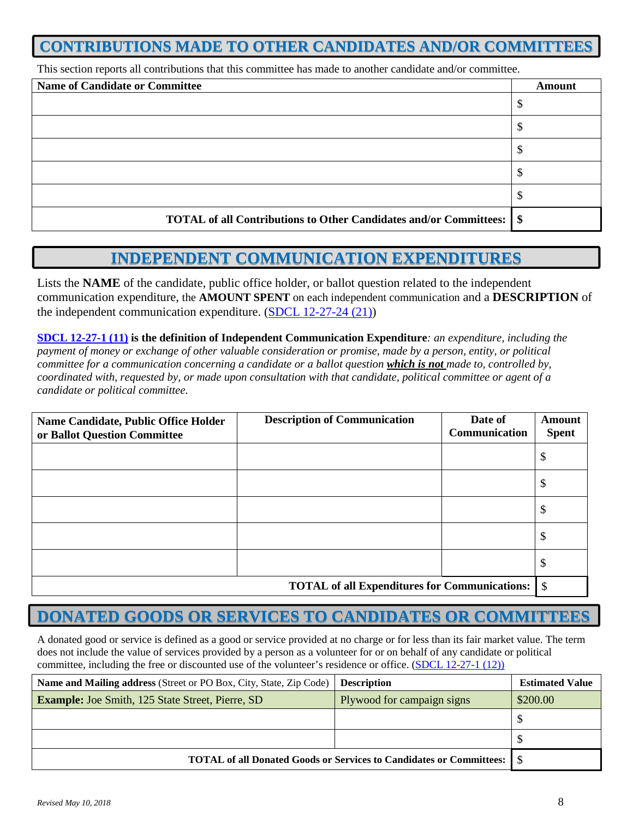## **CONTRIBUTIONS MADE TO OTHER CANDIDATES AND/OR COMMITTEES**

This section reports all contributions that this committee has made to another candidate and/or committee.

| <b>Name of Candidate or Committee</b>                                           | <b>Amount</b> |
|---------------------------------------------------------------------------------|---------------|
|                                                                                 |               |
|                                                                                 |               |
|                                                                                 |               |
|                                                                                 |               |
|                                                                                 |               |
| <b>TOTAL of all Contributions to Other Candidates and/or Committees: \ \ \$</b> |               |

## **INDEPENDENT COMMUNICATION EXPENDITURES**

Lists the **NAME** of the candidate, public office holder, or ballot question related to the independent communication expenditure, the **AMOUNT SPENT** on each independent communication and a **DESCRIPTION** of the independent communication expenditure. (SDCL 12-27-24 (21))

**SDCL 12-27-1 (11) is the definition of Independent Communication Expenditure***: an expenditure, including the payment of money or exchange of other valuable consideration or promise, made by a person, entity, or political committee for a communication concerning a candidate or a ballot question which is not made to, controlled by, coordinated with, requested by, or made upon consultation with that candidate, political committee or agent of a candidate or political committee.*

| Name Candidate, Public Office Holder<br>or Ballot Question Committee | <b>Description of Communication</b> | Date of<br>Communication | <b>Amount</b><br><b>Spent</b> |
|----------------------------------------------------------------------|-------------------------------------|--------------------------|-------------------------------|
|                                                                      |                                     |                          | Φ                             |
|                                                                      |                                     |                          | S                             |
|                                                                      |                                     |                          | D                             |
|                                                                      |                                     |                          | J                             |
|                                                                      |                                     |                          | J                             |
| <b>TOTAL of all Expenditures for Communications:</b> $\frac{1}{2}$   |                                     |                          |                               |

# **DONATED GOODS OR SERVICES TO CANDIDATES OR COMMITTEES**

A donated good or service is defined as a good or service provided at no charge or for less than its fair market value. The term does not include the value of services provided by a person as a volunteer for or on behalf of any candidate or political committee, including the free or discounted use of the volunteer's residence or office. (SDCL 12-27-1 (12))

| Name and Mailing address (Street or PO Box, City, State, Zip Code)           | <b>Description</b>         | <b>Estimated Value</b> |
|------------------------------------------------------------------------------|----------------------------|------------------------|
| <b>Example:</b> Joe Smith, 125 State Street, Pierre, SD                      | Plywood for campaign signs | \$200.00               |
|                                                                              |                            |                        |
|                                                                              |                            |                        |
| <b>TOTAL of all Donated Goods or Services to Candidates or Committees:</b> 5 |                            |                        |